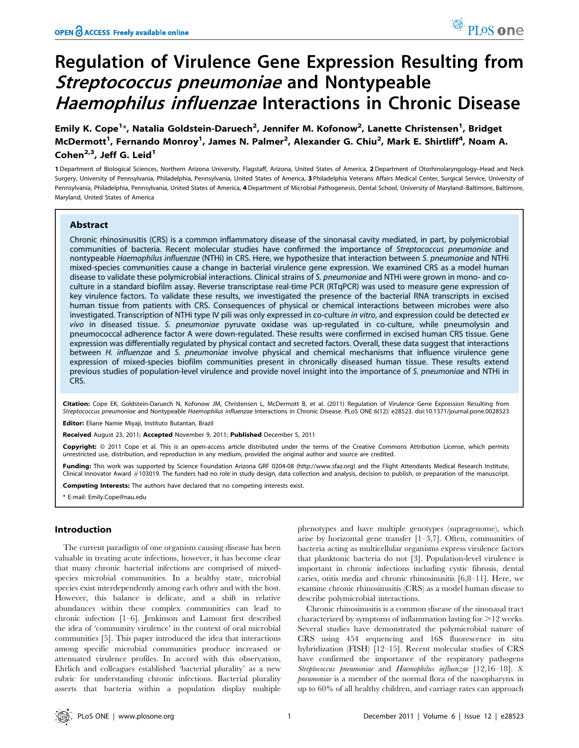# Regulation of Virulence Gene Expression Resulting from Streptococcus pneumoniae and Nontypeable Haemophilus influenzae Interactions in Chronic Disease

Emily K. Cope<sup>1</sup>\*, Natalia Goldstein-Daruech<sup>2</sup>, Jennifer M. Kofonow<sup>2</sup>, Lanette Christensen<sup>1</sup>, Bridget McDermott<sup>1</sup>, Fernando Monroy<sup>1</sup>, James N. Palmer<sup>2</sup>, Alexander G. Chiu<sup>2</sup>, Mark E. Shirtliff<sup>4</sup>, Noam A. Cohen<sup>2,3</sup>, Jeff G. Leid<sup>1</sup>

1 Department of Biological Sciences, Northern Arizona University, Flagstaff, Arizona, United States of America, 2 Department of Otorhinolaryngology–Head and Neck Surgery, University of Pennsylvania, Philadelphia, Pennsylvania, United States of America, 3 Philadelphia Veterans Affairs Medical Center, Surgical Service, University of Pennsylvania, Philadelphia, Pennsylvania, United States of America, 4 Department of Microbial Pathogenesis, Dental School, University of Maryland–Baltimore, Baltimore, Maryland, United States of America

# Abstract

Chronic rhinosinusitis (CRS) is a common inflammatory disease of the sinonasal cavity mediated, in part, by polymicrobial communities of bacteria. Recent molecular studies have confirmed the importance of Streptococcus pneumoniae and nontypeable Haemophilus influenzae (NTHi) in CRS. Here, we hypothesize that interaction between S. pneumoniae and NTHi mixed-species communities cause a change in bacterial virulence gene expression. We examined CRS as a model human disease to validate these polymicrobial interactions. Clinical strains of S. pneumoniae and NTHi were grown in mono- and coculture in a standard biofilm assay. Reverse transcriptase real-time PCR (RTqPCR) was used to measure gene expression of key virulence factors. To validate these results, we investigated the presence of the bacterial RNA transcripts in excised human tissue from patients with CRS. Consequences of physical or chemical interactions between microbes were also investigated. Transcription of NTHi type IV pili was only expressed in co-culture in vitro, and expression could be detected ex vivo in diseased tissue. S. pneumoniae pyruvate oxidase was up-regulated in co-culture, while pneumolysin and pneumococcal adherence factor A were down-regulated. These results were confirmed in excised human CRS tissue. Gene expression was differentially regulated by physical contact and secreted factors. Overall, these data suggest that interactions between H. influenzae and S. pneumoniae involve physical and chemical mechanisms that influence virulence gene expression of mixed-species biofilm communities present in chronically diseased human tissue. These results extend previous studies of population-level virulence and provide novel insight into the importance of S. pneumoniae and NTHi in CRS.

Citation: Cope EK, Goldstein-Daruech N, Kofonow JM, Christensen L, McDermott B, et al. (2011) Regulation of Virulence Gene Expression Resulting from Streptococcus pneumoniae and Nontypeable Haemophilus influenzae Interactions in Chronic Disease. PLoS ONE 6(12): e28523. doi:10.1371/journal.pone.0028523 Editor: Eliane Namie Miyaji, Instituto Butantan, Brazil

Received August 23, 2011; Accepted November 9, 2011; Published December 5, 2011

Copyright: © 2011 Cope et al. This is an open-access article distributed under the terms of the Creative Commons Attribution License, which permits unrestricted use, distribution, and reproduction in any medium, provided the original author and source are credited.

Funding: This work was supported by Science Foundation Arizona GRF 0204-08 (http://www.sfaz.org) and the Flight Attendants Medical Research Institute, Clinical Innovator Award #103019. The funders had no role in study design, data collection and analysis, decision to publish, or preparation of the manuscript.

Competing Interests: The authors have declared that no competing interests exist.

\* E-mail: Emily.Cope@nau.edu

## Introduction

The current paradigm of one organism causing disease has been valuable in treating acute infections, however, it has become clear that many chronic bacterial infections are comprised of mixedspecies microbial communities. In a healthy state, microbial species exist interdependently among each other and with the host. However, this balance is delicate, and a shift in relative abundances within these complex communities can lead to chronic infection [1–6]. Jenkinson and Lamont first described the idea of 'community virulence' in the context of oral microbial communities [5]. This paper introduced the idea that interactions among specific microbial communities produce increased or attenuated virulence profiles. In accord with this observation, Ehrlich and colleagues established 'bacterial plurality' as a new rubric for understanding chronic infections. Bacterial plurality asserts that bacteria within a population display multiple

phenotypes and have multiple genotypes (supragenome), which arise by horizontal gene transfer [1–3,7]. Often, communities of bacteria acting as multicellular organisms express virulence factors that planktonic bacteria do not [3]. Population-level virulence is important in chronic infections including cystic fibrosis, dental caries, otitis media and chronic rhinosinusitis [6,8–11]. Here, we examine chronic rhinosinusitis (CRS) as a model human disease to describe polymicrobial interactions.

Chronic rhinosinusitis is a common disease of the sinonasal tract characterized by symptoms of inflammation lasting for  $>12$  weeks. Several studies have demonstrated the polymicrobial nature of CRS using 454 sequencing and 16S fluorescence in situ hybridization (FISH) [12–15]. Recent molecular studies of CRS have confirmed the importance of the respiratory pathogens Streptococcus pneumoniae and Haemophilus influenzae [12,16–18]. S. pneumoniae is a member of the normal flora of the nasopharynx in up to 60% of all healthy children, and carriage rates can approach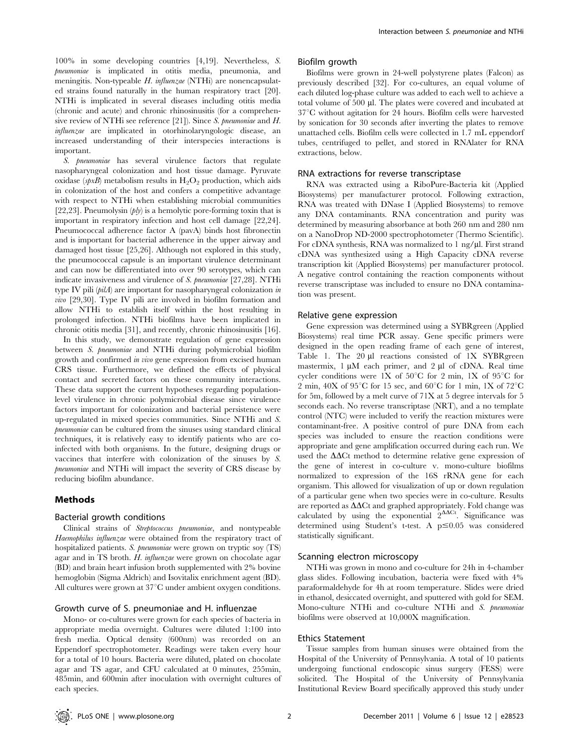100% in some developing countries [4,19]. Nevertheless, S. pneumoniae is implicated in otitis media, pneumonia, and meningitis. Non-typeable H. influenzae (NTHi) are nonencapsulated strains found naturally in the human respiratory tract [20]. NTHi is implicated in several diseases including otitis media (chronic and acute) and chronic rhinosinusitis (for a comprehensive review of NTHi see reference [21]). Since S. pneumoniae and H. influenzae are implicated in otorhinolaryngologic disease, an increased understanding of their interspecies interactions is important.

S. *pneumoniae* has several virulence factors that regulate nasopharyngeal colonization and host tissue damage. Pyruvate oxidase (spxB) metabolism results in  $H_2O_2$  production, which aids in colonization of the host and confers a competitive advantage with respect to NTHi when establishing microbial communities [22,23]. Pneumolysin  $(hv)$  is a hemolytic pore-forming toxin that is important in respiratory infection and host cell damage [22,24]. Pneumococcal adherence factor A (pavA) binds host fibronectin and is important for bacterial adherence in the upper airway and damaged host tissue [25,26]. Although not explored in this study, the pneumococcal capsule is an important virulence determinant and can now be differentiated into over 90 serotypes, which can indicate invasiveness and virulence of S. pneumoniae [27,28]. NTHi type IV pili  $\langle \textit{pilA} \rangle$  are important for nasopharyngeal colonization in vivo [29,30]. Type IV pili are involved in biofilm formation and allow NTHi to establish itself within the host resulting in prolonged infection. NTHi biofilms have been implicated in chronic otitis media [31], and recently, chronic rhinosinusitis [16].

In this study, we demonstrate regulation of gene expression between S. pneumoniae and NTHi during polymicrobial biofilm growth and confirmed in vivo gene expression from excised human CRS tissue. Furthermore, we defined the effects of physical contact and secreted factors on these community interactions. These data support the current hypotheses regarding populationlevel virulence in chronic polymicrobial disease since virulence factors important for colonization and bacterial persistence were up-regulated in mixed species communities. Since NTHi and S. pneumoniae can be cultured from the sinuses using standard clinical techniques, it is relatively easy to identify patients who are coinfected with both organisms. In the future, designing drugs or vaccines that interfere with colonization of the sinuses by S. pneumoniae and NTHi will impact the severity of CRS disease by reducing biofilm abundance.

#### Methods

#### Bacterial growth conditions

Clinical strains of Streptococcus pneumoniae, and nontypeable Haemophilus influenzae were obtained from the respiratory tract of hospitalized patients. S. *pneumoniae* were grown on tryptic soy (TS) agar and in TS broth. H. influenzae were grown on chocolate agar (BD) and brain heart infusion broth supplemented with 2% bovine hemoglobin (Sigma Aldrich) and Isovitalix enrichment agent (BD). All cultures were grown at  $37^{\circ}$ C under ambient oxygen conditions.

# Growth curve of S. pneumoniae and H. influenzae

Mono- or co-cultures were grown for each species of bacteria in appropriate media overnight. Cultures were diluted 1:100 into fresh media. Optical density (600nm) was recorded on an Eppendorf spectrophotometer. Readings were taken every hour for a total of 10 hours. Bacteria were diluted, plated on chocolate agar and TS agar, and CFU calculated at 0 minutes, 255min, 485min, and 600min after inoculation with overnight cultures of each species.

#### Biofilm growth

Biofilms were grown in 24-well polystyrene plates (Falcon) as previously described [32]. For co-cultures, an equal volume of each diluted log-phase culture was added to each well to achieve a total volume of 500 µl. The plates were covered and incubated at  $37^{\circ}$ C without agitation for 24 hours. Biofilm cells were harvested by sonication for 30 seconds after inverting the plates to remove unattached cells. Biofilm cells were collected in 1.7 mL eppendorf tubes, centrifuged to pellet, and stored in RNAlater for RNA extractions, below.

#### RNA extractions for reverse transcriptase

RNA was extracted using a RiboPure-Bacteria kit (Applied Biosystems) per manufacturer protocol. Following extraction, RNA was treated with DNase I (Applied Biosystems) to remove any DNA contaminants. RNA concentration and purity was determined by measuring absorbance at both 260 nm and 280 nm on a NanoDrop ND-2000 spectrophotometer (Thermo Scientific). For cDNA synthesis, RNA was normalized to 1 ng/µl. First strand cDNA was synthesized using a High Capacity cDNA reverse transcription kit (Applied Biosystems) per manufacturer protocol. A negative control containing the reaction components without reverse transcriptase was included to ensure no DNA contamination was present.

#### Relative gene expression

Gene expression was determined using a SYBRgreen (Applied Biosystems) real time PCR assay. Gene specific primers were designed in the open reading frame of each gene of interest, Table 1. The  $20 \mu l$  reactions consisted of  $1X$  SYBRgreen mastermix,  $1 \mu M$  each primer, and  $2 \mu I$  of cDNA. Real time cycler conditions were 1X of  $50^{\circ}$ C for 2 min, 1X of  $95^{\circ}$ C for 2 min,  $40X$  of  $95^{\circ}C$  for 15 sec, and  $60^{\circ}C$  for 1 min, 1X of  $72^{\circ}C$ for 5m, followed by a melt curve of 71X at 5 degree intervals for 5 seconds each. No reverse transcriptase (NRT), and a no template control (NTC) were included to verify the reaction mixtures were contaminant-free. A positive control of pure DNA from each species was included to ensure the reaction conditions were appropriate and gene amplification occurred during each run. We used the  $\Delta\Delta$ Ct method to determine relative gene expression of the gene of interest in co-culture v. mono-culture biofilms normalized to expression of the 16S rRNA gene for each organism. This allowed for visualization of up or down regulation of a particular gene when two species were in co-culture. Results are reported as  $\Delta\Delta Ct$  and graphed appropriately. Fold change was calculated by using the exponential  $2^{\Delta\Delta\text{Ct}}$ . Significance was determined using Student's t-test. A  $p \le 0.05$  was considered statistically significant.

## Scanning electron microscopy

NTHi was grown in mono and co-culture for 24h in 4-chamber glass slides. Following incubation, bacteria were fixed with 4% paraformaldehyde for 4h at room temperature. Slides were dried in ethanol, desiccated overnight, and sputtered with gold for SEM. Mono-culture NTHi and co-culture NTHi and S. pneumoniae biofilms were observed at 10,000X magnification.

## Ethics Statement

Tissue samples from human sinuses were obtained from the Hospital of the University of Pennsylvania. A total of 10 patients undergoing functional endoscopic sinus surgery (FESS) were solicited. The Hospital of the University of Pennsylvania Institutional Review Board specifically approved this study under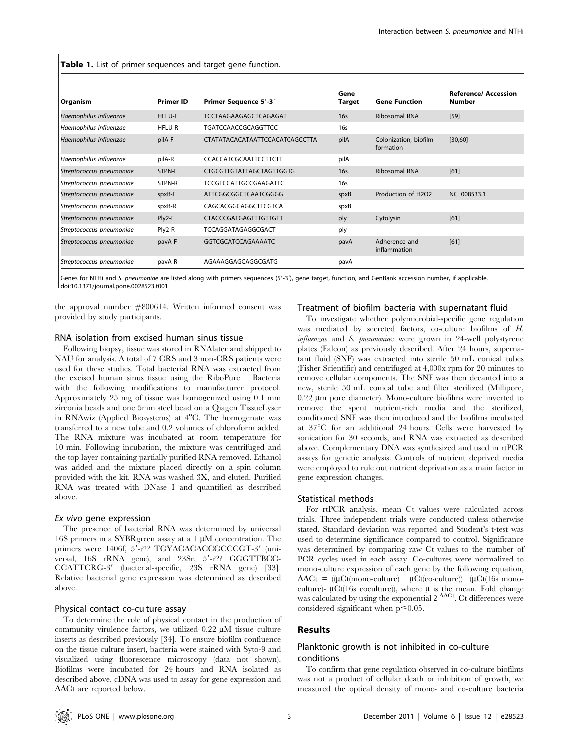Table 1. List of primer sequences and target gene function.

| Organism                 | <b>Primer ID</b> | Primer Sequence 5'-3'           | Gene<br><b>Target</b> | <b>Gene Function</b>               | <b>Reference/ Accession</b><br>Number |
|--------------------------|------------------|---------------------------------|-----------------------|------------------------------------|---------------------------------------|
| Haemophilus influenzae   | HFLU-F           | TCCTAAGAAGAGCTCAGAGAT           | 16s                   | <b>Ribosomal RNA</b>               | $[59]$                                |
| Haemophilus influenzae   | HFLU-R           | <b>TGATCCAACCGCAGGTTCC</b>      | 16s                   |                                    |                                       |
| Haemophilus influenzae   | pilA-F           | CTATATACACATAATTCCACATCAGCCTTA  | pilA                  | Colonization, biofilm<br>formation | [30,60]                               |
| Haemophilus influenzae   | pilA-R           | <b>CCACCATCGCAATTCCTTCTT</b>    | pilA                  |                                    |                                       |
| Streptococcus pneumoniae | STPN-F           | <b>CTGCGTTGTATTAGCTAGTTGGTG</b> | 16s                   | <b>Ribosomal RNA</b>               | [61]                                  |
| Streptococcus pneumoniae | STPN-R           | <b>TCCGTCCATTGCCGAAGATTC</b>    | 16s                   |                                    |                                       |
| Streptococcus pneumoniae | spxB-F           | ATTCGGCGGCTCAATCGGGG            | spxB                  | Production of H2O2                 | NC 008533.1                           |
| Streptococcus pneumoniae | spxB-R           | CAGCACGGCAGGCTTCGTCA            | spxB                  |                                    |                                       |
| Streptococcus pneumoniae | Ply2-F           | <b>CTACCCGATGAGTTTGTTGTT</b>    | ply                   | Cytolysin                          | [61]                                  |
| Streptococcus pneumoniae | Ply2-R           | TCCAGGATAGAGGCGACT              | ply                   |                                    |                                       |
| Streptococcus pneumoniae | pavA-F           | GGTCGCATCCAGAAAATC              | pavA                  | Adherence and<br>inflammation      | [61]                                  |
| Streptococcus pneumoniae | pavA-R           | AGAAAGGAGCAGGCGATG              | pavA                  |                                    |                                       |

Genes for NTHi and S. pneumoniae are listed along with primers sequences (5'-3'), gene target, function, and GenBank accession number, if applicable. doi:10.1371/journal.pone.0028523.t001

the approval number #800614. Written informed consent was

## RNA isolation from excised human sinus tissue

Following biopsy, tissue was stored in RNAlater and shipped to NAU for analysis. A total of 7 CRS and 3 non-CRS patients were used for these studies. Total bacterial RNA was extracted from the excised human sinus tissue using the RiboPure – Bacteria with the following modifications to manufacturer protocol. Approximately 25 mg of tissue was homogenized using 0.1 mm zirconia beads and one 5mm steel bead on a Qiagen TissueLyser in RNAwiz (Applied Biosystems) at 4°C. The homogenate was transferred to a new tube and 0.2 volumes of chloroform added. The RNA mixture was incubated at room temperature for 10 min. Following incubation, the mixture was centrifuged and the top layer containing partially purified RNA removed. Ethanol was added and the mixture placed directly on a spin column provided with the kit. RNA was washed 3X, and eluted. Purified RNA was treated with DNase I and quantified as described above.

#### Ex vivo gene expression

provided by study participants.

The presence of bacterial RNA was determined by universal 16S primers in a SYBR green assay at a  $1 \mu$ M concentration. The primers were 1406f, 5'-??? TGYACACACCGCCCGT-3' (universal, 16S rRNA gene), and 23Sr, 5'-??? GGGTTBCC-CCATTCRG-3' (bacterial-specific, 23S rRNA gene) [33]. Relative bacterial gene expression was determined as described above.

#### Physical contact co-culture assay

To determine the role of physical contact in the production of community virulence factors, we utilized  $0.22 \mu M$  tissue culture inserts as described previously [34]. To ensure biofilm confluence on the tissue culture insert, bacteria were stained with Syto-9 and visualized using fluorescence microscopy (data not shown). Biofilms were incubated for 24 hours and RNA isolated as described above. cDNA was used to assay for gene expression and  $\Delta\Delta$ Ct are reported below.

# Treatment of biofilm bacteria with supernatant fluid

To investigate whether polymicrobial-specific gene regulation was mediated by secreted factors, co-culture biofilms of H. influenzae and S. pneumoniae were grown in 24-well polystyrene plates (Falcon) as previously described. After 24 hours, supernatant fluid (SNF) was extracted into sterile 50 mL conical tubes (Fisher Scientific) and centrifuged at 4,000x rpm for 20 minutes to remove cellular components. The SNF was then decanted into a new, sterile 50 mL conical tube and filter sterilized (Millipore,  $0.22 \mu m$  pore diameter). Mono-culture biofilms were inverted to remove the spent nutrient-rich media and the sterilized, conditioned SNF was then introduced and the biofilms incubated at  $37^{\circ}$ C for an additional 24 hours. Cells were harvested by sonication for 30 seconds, and RNA was extracted as described above. Complementary DNA was synthesized and used in rtPCR assays for genetic analysis. Controls of nutrient deprived media were employed to rule out nutrient deprivation as a main factor in gene expression changes.

## Statistical methods

For rtPCR analysis, mean Ct values were calculated across trials. Three independent trials were conducted unless otherwise stated. Standard deviation was reported and Student's t-test was used to determine significance compared to control. Significance was determined by comparing raw Ct values to the number of PCR cycles used in each assay. Co-cultures were normalized to mono-culture expression of each gene by the following equation,  $\Delta\Delta\text{Ct}$  = (( $\mu\text{Ct}(\text{mono-culture}) - \mu\text{Ct}(\text{co-culture})$ ) –( $\mu\text{Ct}(16\text{s mono-}$ culture)-  $\mu$ Ct(16s coculture)), where  $\mu$  is the mean. Fold change was calculated by using the exponential  $2^{\Delta\Delta\text{Ct}}$ . Ct differences were considered significant when  $p \le 0.05$ .

#### Results

## Planktonic growth is not inhibited in co-culture conditions

To confirm that gene regulation observed in co-culture biofilms was not a product of cellular death or inhibition of growth, we measured the optical density of mono- and co-culture bacteria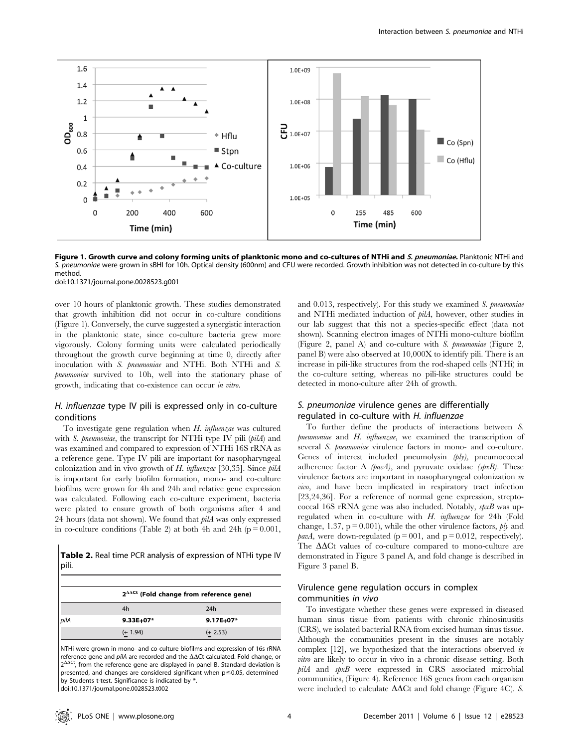

Figure 1. Growth curve and colony forming units of planktonic mono and co-cultures of NTHi and S. pneumoniae. Planktonic NTHi and S. pneumoniae were grown in sBHI for 10h. Optical density (600nm) and CFU were recorded. Growth inhibition was not detected in co-culture by this method.

doi:10.1371/journal.pone.0028523.g001

over 10 hours of planktonic growth. These studies demonstrated that growth inhibition did not occur in co-culture conditions (Figure 1). Conversely, the curve suggested a synergistic interaction in the planktonic state, since co-culture bacteria grew more vigorously. Colony forming units were calculated periodically throughout the growth curve beginning at time 0, directly after inoculation with S. pneumoniae and NTHi. Both NTHi and S. pneumoniae survived to 10h, well into the stationary phase of growth, indicating that co-existence can occur in vitro.

# H. influenzae type IV pili is expressed only in co-culture conditions

To investigate gene regulation when  $H$ . influenzae was cultured with S. pneumoniae, the transcript for NTHi type IV pili (pilA) and was examined and compared to expression of NTHi 16S rRNA as a reference gene. Type IV pili are important for nasopharyngeal colonization and in vivo growth of  $H$ . influenzae [30,35]. Since pilA is important for early biofilm formation, mono- and co-culture biofilms were grown for 4h and 24h and relative gene expression was calculated. Following each co-culture experiment, bacteria were plated to ensure growth of both organisms after 4 and 24 hours (data not shown). We found that  $piA$  was only expressed in co-culture conditions (Table 2) at both 4h and 24h ( $p = 0.001$ ,

Table 2. Real time PCR analysis of expression of NTHi type IV pili.

|      |            | $2^{\text{AACt}}$ (Fold change from reference gene) |  |  |  |  |
|------|------------|-----------------------------------------------------|--|--|--|--|
|      | 4h         | 24h                                                 |  |  |  |  |
| pilA | 9.33E+07*  | 9.17E+07*                                           |  |  |  |  |
|      | $(+ 1.94)$ | $(+ 2.53)$                                          |  |  |  |  |

NTHi were grown in mono- and co-culture biofilms and expression of 16s rRNA reference gene and  $piA$  are recorded and the  $\Delta\Delta Ct$  calculated. Fold change, or  $2^{\Delta\Delta\text{C}t}$ , from the reference gene are displayed in panel B. Standard deviation is presented, and changes are considered significant when  $p \le 0.05$ , determined by Students t-test. Significance is indicated by \*.

doi:10.1371/journal.pone.0028523.t002

and 0.013, respectively). For this study we examined S. pneumoniae and NTHi mediated induction of pilA, however, other studies in our lab suggest that this not a species-specific effect (data not shown). Scanning electron images of NTHi mono-culture biofilm (Figure 2, panel A) and co-culture with S. pneumoniae (Figure 2, panel B) were also observed at 10,000X to identify pili. There is an increase in pili-like structures from the rod-shaped cells (NTHi) in the co-culture setting, whereas no pili-like structures could be detected in mono-culture after 24h of growth.

## S. pneumoniae virulence genes are differentially regulated in co-culture with H. influenzae

To further define the products of interactions between S. pneumoniae and H. influenzae, we examined the transcription of several S. pneumoniae virulence factors in mono- and co-culture. Genes of interest included pneumolysin (*ply*), pneumococcal adherence factor A ( $\beta$ avA), and pyruvate oxidase ( $\beta$ pxB). These virulence factors are important in nasopharyngeal colonization in vivo, and have been implicated in respiratory tract infection [23,24,36]. For a reference of normal gene expression, streptococcal 16S rRNA gene was also included. Notably,  $\wp xB$  was upregulated when in co-culture with H. influenzae for 24h (Fold change, 1.37,  $p = 0.001$ ), while the other virulence factors,  $\not{p}$  and *pavA*, were down-regulated ( $p = 001$ , and  $p = 0.012$ , respectively). The  $\Delta\Delta$ Ct values of co-culture compared to mono-culture are demonstrated in Figure 3 panel A, and fold change is described in Figure 3 panel B.

# Virulence gene regulation occurs in complex communities in vivo

To investigate whether these genes were expressed in diseased human sinus tissue from patients with chronic rhinosinusitis (CRS), we isolated bacterial RNA from excised human sinus tissue. Although the communities present in the sinuses are notably complex [12], we hypothesized that the interactions observed in vitro are likely to occur in vivo in a chronic disease setting. Both pilA and spxB were expressed in CRS associated microbial communities, (Figure 4). Reference 16S genes from each organism were included to calculate  $\Delta\Delta$ Ct and fold change (Figure 4C). S.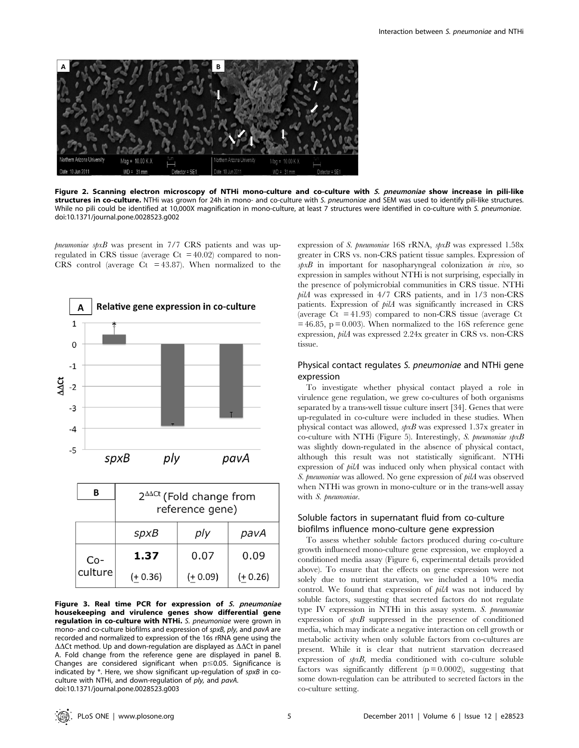

Figure 2. Scanning electron microscopy of NTHi mono-culture and co-culture with S. pneumoniae show increase in pili-like structures in co-culture. NTHi was grown for 24h in mono- and co-culture with S. pneumoniae and SEM was used to identify pili-like structures. While no pili could be identified at 10,000X magnification in mono-culture, at least 7 structures were identified in co-culture with S. pneumoniae. doi:10.1371/journal.pone.0028523.g002

 $p$ neumoniae spxB was present in  $7/7$  CRS patients and was upregulated in CRS tissue (average  $C_t$  = 40.02) compared to non-CRS control (average  $Ct = 43.87$ ). When normalized to the



|                  | $2^{\Delta\Delta\text{Ct}}$ (Fold change from<br>reference gene) |            |            |  |  |  |
|------------------|------------------------------------------------------------------|------------|------------|--|--|--|
|                  | spxB                                                             | ply        | pavA       |  |  |  |
| $Co-$<br>culture | 1.37                                                             | 0.07       | 0.09       |  |  |  |
|                  | $(+ 0.36)$                                                       | $(+ 0.09)$ | $(+ 0.26)$ |  |  |  |

Figure 3. Real time PCR for expression of S. pneumoniae housekeeping and virulence genes show differential gene regulation in co-culture with NTHi. S. pneumoniae were grown in mono- and co-culture biofilms and expression of spxB, ply, and pavA are recorded and normalized to expression of the 16s rRNA gene using the  $\Delta\Delta$ Ct method. Up and down-regulation are displayed as  $\Delta\Delta$ Ct in panel A. Fold change from the reference gene are displayed in panel B. Changes are considered significant when  $p \le 0.05$ . Significance is indicated by \*. Here, we show significant up-regulation of spxB in coculture with NTHi, and down-regulation of ply, and pavA. doi:10.1371/journal.pone.0028523.g003

expression of S. pneumoniae 16S rRNA, spxB was expressed 1.58x greater in CRS vs. non-CRS patient tissue samples. Expression of  $\wp xB$  in important for nasopharyngeal colonization in vivo, so expression in samples without NTHi is not surprising, especially in the presence of polymicrobial communities in CRS tissue. NTHi pilA was expressed in 4/7 CRS patients, and in 1/3 non-CRS patients. Expression of pilA was significantly increased in CRS (average  $C_t$  = 41.93) compared to non-CRS tissue (average  $C_t$  $= 46.85$ ,  $p = 0.003$ ). When normalized to the 16S reference gene expression, pilA was expressed 2.24x greater in CRS vs. non-CRS tissue.

## Physical contact regulates S. pneumoniae and NTHi gene expression

To investigate whether physical contact played a role in virulence gene regulation, we grew co-cultures of both organisms separated by a trans-well tissue culture insert [34]. Genes that were up-regulated in co-culture were included in these studies. When physical contact was allowed, spxB was expressed 1.37x greater in co-culture with NTHi (Figure 5). Interestingly, S. pneumoniae  $spxB$ was slightly down-regulated in the absence of physical contact, although this result was not statistically significant. NTHi expression of pilA was induced only when physical contact with S. pneumoniae was allowed. No gene expression of pilA was observed when NTHi was grown in mono-culture or in the trans-well assay with S. pneumoniae.

# Soluble factors in supernatant fluid from co-culture biofilms influence mono-culture gene expression

To assess whether soluble factors produced during co-culture growth influenced mono-culture gene expression, we employed a conditioned media assay (Figure 6, experimental details provided above). To ensure that the effects on gene expression were not solely due to nutrient starvation, we included a 10% media control. We found that expression of pilA was not induced by soluble factors, suggesting that secreted factors do not regulate type IV expression in NTHi in this assay system. S. pneumoniae expression of spxB suppressed in the presence of conditioned media, which may indicate a negative interaction on cell growth or metabolic activity when only soluble factors from co-cultures are present. While it is clear that nutrient starvation decreased expression of spxB, media conditioned with co-culture soluble factors was significantly different  $(p = 0.0002)$ , suggesting that some down-regulation can be attributed to secreted factors in the co-culture setting.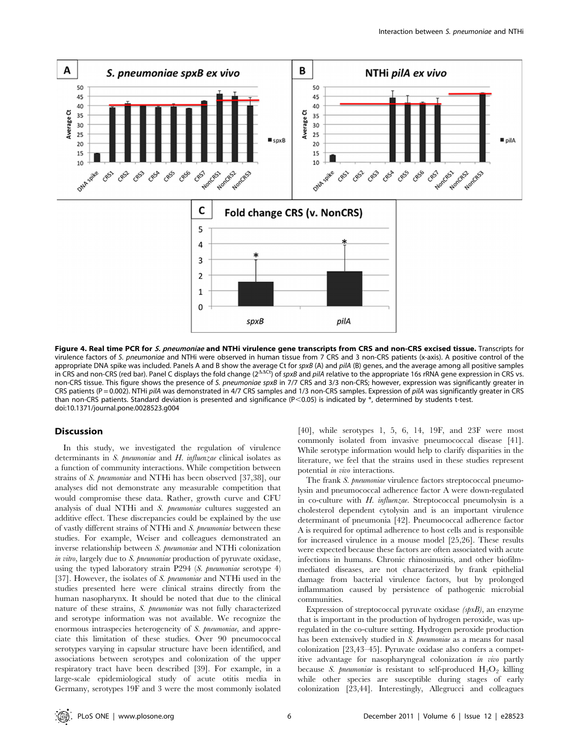

Figure 4. Real time PCR for S. pneumoniae and NTHi virulence gene transcripts from CRS and non-CRS excised tissue. Transcripts for virulence factors of S. pneumoniae and NTHi were observed in human tissue from 7 CRS and 3 non-CRS patients (x-axis). A positive control of the appropriate DNA spike was included. Panels A and B show the average Ct for *spxB* (A) and *pilA* (B) genes, and the average among all positive samples<br>in CRS and non-CRS (red bar). Panel C displays the fold change (2<sup>AACt</sup> non-CRS tissue. This figure shows the presence of S. pneumoniae spxB in 7/7 CRS and 3/3 non-CRS; however, expression was significantly greater in CRS patients (P = 0.002). NTHi pilA was demonstrated in 4/7 CRS samples and 1/3 non-CRS samples. Expression of pilA was significantly greater in CRS than non-CRS patients. Standard deviation is presented and significance (P<0.05) is indicated by  $*$ , determined by students t-test. doi:10.1371/journal.pone.0028523.g004

## **Discussion**

In this study, we investigated the regulation of virulence determinants in S. pneumoniae and H. influenzae clinical isolates as a function of community interactions. While competition between strains of S. pneumoniae and NTHi has been observed [37,38], our analyses did not demonstrate any measurable competition that would compromise these data. Rather, growth curve and CFU analysis of dual NTHi and S. pneumoniae cultures suggested an additive effect. These discrepancies could be explained by the use of vastly different strains of NTHi and S. pneumoniae between these studies. For example, Weiser and colleagues demonstrated an inverse relationship between S. pneumoniae and NTHi colonization in vitro, largely due to S. pneumoniae production of pyruvate oxidase, using the typed laboratory strain P294 (S. pneumoniae serotype 4) [37]. However, the isolates of S. pneumoniae and NTHi used in the studies presented here were clinical strains directly from the human nasopharynx. It should be noted that due to the clinical nature of these strains, S. pneumoniae was not fully characterized and serotype information was not available. We recognize the enormous intraspecies heterogeneity of S. pneumoniae, and appreciate this limitation of these studies. Over 90 pneumococcal serotypes varying in capsular structure have been identified, and associations between serotypes and colonization of the upper respiratory tract have been described [39]. For example, in a large-scale epidemiological study of acute otitis media in Germany, serotypes 19F and 3 were the most commonly isolated [40], while serotypes 1, 5, 6, 14, 19F, and 23F were most commonly isolated from invasive pneumococcal disease [41]. While serotype information would help to clarify disparities in the literature, we feel that the strains used in these studies represent potential in vivo interactions.

The frank S. pneumoniae virulence factors streptococcal pneumolysin and pneumococcal adherence factor A were down-regulated in co-culture with H. influenzae. Streptococcal pneumolysin is a cholesterol dependent cytolysin and is an important virulence determinant of pneumonia [42]. Pneumococcal adherence factor A is required for optimal adherence to host cells and is responsible for increased virulence in a mouse model [25,26]. These results were expected because these factors are often associated with acute infections in humans. Chronic rhinosinusitis, and other biofilmmediated diseases, are not characterized by frank epithelial damage from bacterial virulence factors, but by prolonged inflammation caused by persistence of pathogenic microbial communities.

Expression of streptococcal pyruvate oxidase (spxB), an enzyme that is important in the production of hydrogen peroxide, was upregulated in the co-culture setting. Hydrogen peroxide production has been extensively studied in S. pneumoniae as a means for nasal colonization [23,43–45]. Pyruvate oxidase also confers a competitive advantage for nasopharyngeal colonization in vivo partly because S. pneumoniae is resistant to self-produced  $H_2O_2$  killing while other species are susceptible during stages of early colonization [23,44]. Interestingly, Allegrucci and colleagues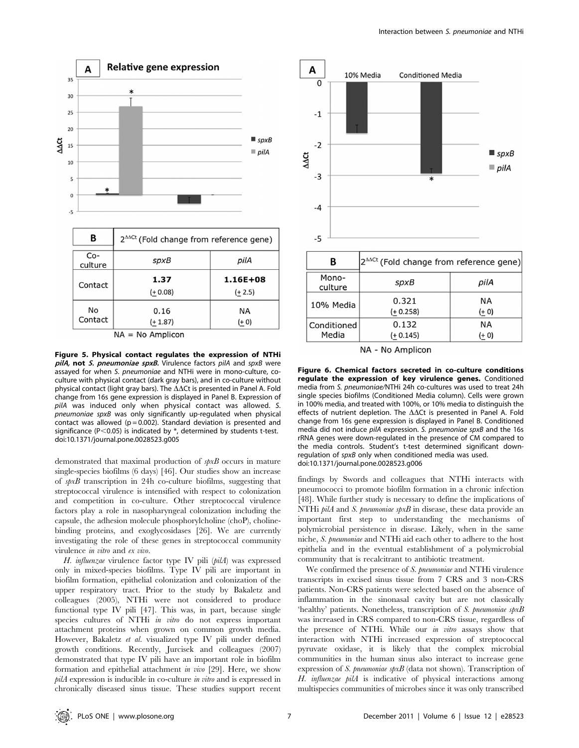

 $NA = No$  Amplicon

Figure 5. Physical contact regulates the expression of NTHi pilA, not S. pneumoniae spxB. Virulence factors pilA and spxB were assayed for when S. pneumoniae and NTHi were in mono-culture, coculture with physical contact (dark gray bars), and in co-culture without physical contact (light gray bars). The  $\Delta\Delta$ Ct is presented in Panel A. Fold change from 16s gene expression is displayed in Panel B. Expression of pilA was induced only when physical contact was allowed. S. pneumoniae spxB was only significantly up-regulated when physical contact was allowed ( $p = 0.002$ ). Standard deviation is presented and significance ( $P < 0.05$ ) is indicated by  $*$ , determined by students t-test. doi:10.1371/journal.pone.0028523.g005

demonstrated that maximal production of  $\mathfrak{spxB}$  occurs in mature single-species biofilms (6 days) [46]. Our studies show an increase of  $\sin B$  transcription in 24h co-culture biofilms, suggesting that streptococcal virulence is intensified with respect to colonization and competition in co-culture. Other streptococcal virulence factors play a role in nasopharyngeal colonization including the capsule, the adhesion molecule phosphorylcholine (choP), cholinebinding proteins, and exoglycosidases [26]. We are currently investigating the role of these genes in streptococcal community virulence in vitro and ex vivo.

H. influenzae virulence factor type IV pili (pilA) was expressed only in mixed-species biofilms. Type IV pili are important in biofilm formation, epithelial colonization and colonization of the upper respiratory tract. Prior to the study by Bakaletz and colleagues (2005), NTHi were not considered to produce functional type IV pili [47]. This was, in part, because single species cultures of NTHi in vitro do not express important attachment proteins when grown on common growth media. However, Bakaletz et al. visualized type IV pili under defined growth conditions. Recently, Jurcisek and colleagues (2007) demonstrated that type IV pili have an important role in biofilm formation and epithelial attachment in vivo [29]. Here, we show pilA expression is inducible in co-culture in vitro and is expressed in chronically diseased sinus tissue. These studies support recent



NA - No Amplicon

Figure 6. Chemical factors secreted in co-culture conditions regulate the expression of key virulence genes. Conditioned media from S. pneumoniae/NTHi 24h co-cultures was used to treat 24h single species biofilms (Conditioned Media column). Cells were grown in 100% media, and treated with 100%, or 10% media to distinguish the effects of nutrient depletion. The  $\Delta\Delta$ Ct is presented in Panel A. Fold change from 16s gene expression is displayed in Panel B. Conditioned media did not induce pilA expression. S. pneumoniae spxB and the 16s rRNA genes were down-regulated in the presence of CM compared to the media controls. Student's t-test determined significant downregulation of spxB only when conditioned media was used. doi:10.1371/journal.pone.0028523.g006

findings by Swords and colleagues that NTHi interacts with pneumococci to promote biofilm formation in a chronic infection [48]. While further study is necessary to define the implications of NTHi pilA and S. pneumoniae spxB in disease, these data provide an important first step to understanding the mechanisms of polymicrobial persistence in disease. Likely, when in the same niche, S. pneumoniae and NTHi aid each other to adhere to the host epithelia and in the eventual establishment of a polymicrobial community that is recalcitrant to antibiotic treatment.

We confirmed the presence of S. pneumoniae and NTHi virulence transcripts in excised sinus tissue from 7 CRS and 3 non-CRS patients. Non-CRS patients were selected based on the absence of inflammation in the sinonasal cavity but are not classically 'healthy' patients. Nonetheless, transcription of S. pneumoniae spxB was increased in CRS compared to non-CRS tissue, regardless of the presence of NTHi. While our in vitro assays show that interaction with NTHi increased expression of streptococcal pyruvate oxidase, it is likely that the complex microbial communities in the human sinus also interact to increase gene expression of S. pneumoniae spxB (data not shown). Transcription of H. influenzae pilA is indicative of physical interactions among multispecies communities of microbes since it was only transcribed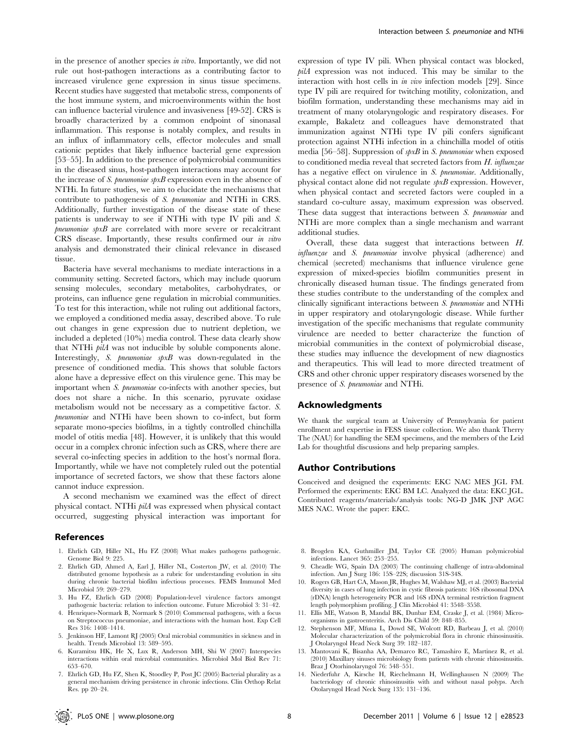in the presence of another species in vitro. Importantly, we did not rule out host-pathogen interactions as a contributing factor to increased virulence gene expression in sinus tissue specimens. Recent studies have suggested that metabolic stress, components of the host immune system, and microenvironments within the host can influence bacterial virulence and invasiveness [49-52]. CRS is broadly characterized by a common endpoint of sinonasal inflammation. This response is notably complex, and results in an influx of inflammatory cells, effector molecules and small cationic peptides that likely influence bacterial gene expression [53–55]. In addition to the presence of polymicrobial communities in the diseased sinus, host-pathogen interactions may account for the increase of  $S$ . pneumoniae spxB expression even in the absence of NTHi. In future studies, we aim to elucidate the mechanisms that contribute to pathogenesis of S. pneumoniae and NTHi in CRS. Additionally, further investigation of the disease state of these patients is underway to see if NTHi with type IV pili and S.  $p$ neumoniae  $\wp xB$  are correlated with more severe or recalcitrant CRS disease. Importantly, these results confirmed our in vitro analysis and demonstrated their clinical relevance in diseased tissue.

Bacteria have several mechanisms to mediate interactions in a community setting. Secreted factors, which may include quorum sensing molecules, secondary metabolites, carbohydrates, or proteins, can influence gene regulation in microbial communities. To test for this interaction, while not ruling out additional factors, we employed a conditioned media assay, described above. To rule out changes in gene expression due to nutrient depletion, we included a depleted (10%) media control. These data clearly show that NTHi *pilA* was not inducible by soluble components alone. Interestingly, S. pneumoniae spxB was down-regulated in the presence of conditioned media. This shows that soluble factors alone have a depressive effect on this virulence gene. This may be important when S. pneumoniae co-infects with another species, but does not share a niche. In this scenario, pyruvate oxidase metabolism would not be necessary as a competitive factor. S. pneumoniae and NTHi have been shown to co-infect, but form separate mono-species biofilms, in a tightly controlled chinchilla model of otitis media [48]. However, it is unlikely that this would occur in a complex chronic infection such as CRS, where there are several co-infecting species in addition to the host's normal flora. Importantly, while we have not completely ruled out the potential importance of secreted factors, we show that these factors alone cannot induce expression.

A second mechanism we examined was the effect of direct physical contact. NTHi pilA was expressed when physical contact occurred, suggesting physical interaction was important for

#### References

- 1. Ehrlich GD, Hiller NL, Hu FZ (2008) What makes pathogens pathogenic. Genome Biol 9: 225.
- 2. Ehrlich GD, Ahmed A, Earl J, Hiller NL, Costerton JW, et al. (2010) The distributed genome hypothesis as a rubric for understanding evolution in situ during chronic bacterial biofilm infectious processes. FEMS Immunol Med Microbiol 59: 269–279.
- 3. Hu FZ, Ehrlich GD (2008) Population-level virulence factors amongst pathogenic bacteria: relation to infection outcome. Future Microbiol 3: 31–42.
- 4. Henriques-Normark B, Normark S (2010) Commensal pathogens, with a focus on Streptococcus pneumoniae, and interactions with the human host. Exp Cell Res 316: 1408–1414.
- 5. Jenkinson HF, Lamont RJ (2005) Oral microbial communities in sickness and in health. Trends Microbiol 13: 589–595.
- 6. Kuramitsu HK, He X, Lux R, Anderson MH, Shi W (2007) Interspecies interactions within oral microbial communities. Microbiol Mol Biol Rev 71: 653–670.
- 7. Ehrlich GD, Hu FZ, Shen K, Stoodley P, Post JC (2005) Bacterial plurality as a general mechanism driving persistence in chronic infections. Clin Orthop Relat Res. pp 20–24.

expression of type IV pili. When physical contact was blocked, pilA expression was not induced. This may be similar to the interaction with host cells in in vivo infection models [29]. Since type IV pili are required for twitching motility, colonization, and biofilm formation, understanding these mechanisms may aid in treatment of many otolaryngologic and respiratory diseases. For example, Bakaletz and colleagues have demonstrated that immunization against NTHi type IV pili confers significant protection against NTHi infection in a chinchilla model of otitis media [56–58]. Suppression of  $\mathfrak{spxB}$  in S. pneumoniae when exposed to conditioned media reveal that secreted factors from  $H$ . influenzae has a negative effect on virulence in S. pneumoniae. Additionally, physical contact alone did not regulate  $\mathfrak{spxB}$  expression. However, when physical contact and secreted factors were coupled in a standard co-culture assay, maximum expression was observed. These data suggest that interactions between S. pneumoniae and NTHi are more complex than a single mechanism and warrant additional studies.

Overall, these data suggest that interactions between H. influenzae and S. pneumoniae involve physical (adherence) and chemical (secreted) mechanisms that influence virulence gene expression of mixed-species biofilm communities present in chronically diseased human tissue. The findings generated from these studies contribute to the understanding of the complex and clinically significant interactions between S. pneumoniae and NTHi in upper respiratory and otolaryngologic disease. While further investigation of the specific mechanisms that regulate community virulence are needed to better characterize the function of microbial communities in the context of polymicrobial disease, these studies may influence the development of new diagnostics and therapeutics. This will lead to more directed treatment of CRS and other chronic upper respiratory diseases worsened by the presence of S. pneumoniae and NTHi.

#### Acknowledgments

We thank the surgical team at University of Pennsylvania for patient enrollment and expertise in FESS tissue collection. We also thank Therry The (NAU) for handling the SEM specimens, and the members of the Leid Lab for thoughtful discussions and help preparing samples.

## Author Contributions

Conceived and designed the experiments: EKC NAC MES JGL FM. Performed the experiments: EKC BM LC. Analyzed the data: EKC JGL. Contributed reagents/materials/analysis tools: NG-D JMK JNP AGC MES NAC. Wrote the paper: EKC.

- 8. Brogden KA, Guthmiller JM, Taylor CE (2005) Human polymicrobial infections. Lancet 365: 253–255.
- 9. Cheadle WG, Spain DA (2003) The continuing challenge of intra-abdominal infection. Am J Surg 186: 15S–22S; discussion 31S-34S.
- 10. Rogers GB, Hart CA, Mason JR, Hughes M, Walshaw MJ, et al. (2003) Bacterial diversity in cases of lung infection in cystic fibrosis patients: 16S ribosomal DNA (rDNA) length heterogeneity PCR and 16S rDNA terminal restriction fragment length polymorphism profiling. J Clin Microbiol 41: 3548–3558.
- 11. Ellis ME, Watson B, Mandal BK, Dunbar EM, Craske J, et al. (1984) Microorganisms in gastroenteritis. Arch Dis Child 59: 848–855.
- 12. Stephenson MF, Mfuna L, Dowd SE, Wolcott RD, Barbeau J, et al. (2010) Molecular characterization of the polymicrobial flora in chronic rhinosinusitis. J Otolaryngol Head Neck Surg 39: 182–187.
- 13. Mantovani K, Bisanha AA, Demarco RC, Tamashiro E, Martinez R, et al. (2010) Maxillary sinuses microbiology from patients with chronic rhinosinusitis. Braz J Otorhinolaryngol 76: 548–551.
- 14. Niederfuhr A, Kirsche H, Riechelmann H, Wellinghausen N (2009) The bacteriology of chronic rhinosinusitis with and without nasal polyps. Arch Otolaryngol Head Neck Surg 135: 131–136.